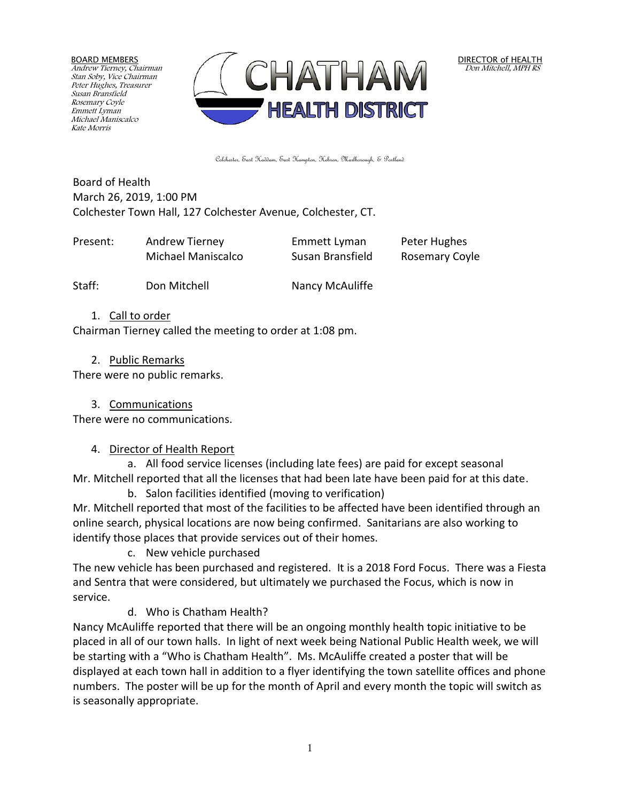BOARD MEMBERS Andrew Tierney, Chairman Stan Soby, Vice Chairman Peter Hughes, Treasurer Susan Bransfield Rosemary Coyle Emmett Lyman Michael Maniscalco Kate Morris



DIRECTOR of HEALTH Don Mitchell, MPH RS

Colchester, East Haddam, East Hampton, Hebron, Marlborough, & Portland

Board of Health March 26, 2019, 1:00 PM Colchester Town Hall, 127 Colchester Avenue, Colchester, CT.

| Present: | Andrew Tierney     | Emmett Lyman     | Peter Hughes   |
|----------|--------------------|------------------|----------------|
|          | Michael Maniscalco | Susan Bransfield | Rosemary Coyle |
|          |                    |                  |                |

Staff: Don Mitchell Nancy McAuliffe

### 1. Call to order

Chairman Tierney called the meeting to order at 1:08 pm.

#### 2. Public Remarks

There were no public remarks.

### 3. Communications

There were no communications.

### 4. Director of Health Report

a. All food service licenses (including late fees) are paid for except seasonal Mr. Mitchell reported that all the licenses that had been late have been paid for at this date.

b. Salon facilities identified (moving to verification)

Mr. Mitchell reported that most of the facilities to be affected have been identified through an online search, physical locations are now being confirmed. Sanitarians are also working to identify those places that provide services out of their homes.

c. New vehicle purchased

The new vehicle has been purchased and registered. It is a 2018 Ford Focus. There was a Fiesta and Sentra that were considered, but ultimately we purchased the Focus, which is now in service.

d. Who is Chatham Health?

Nancy McAuliffe reported that there will be an ongoing monthly health topic initiative to be placed in all of our town halls. In light of next week being National Public Health week, we will be starting with a "Who is Chatham Health". Ms. McAuliffe created a poster that will be displayed at each town hall in addition to a flyer identifying the town satellite offices and phone numbers. The poster will be up for the month of April and every month the topic will switch as is seasonally appropriate.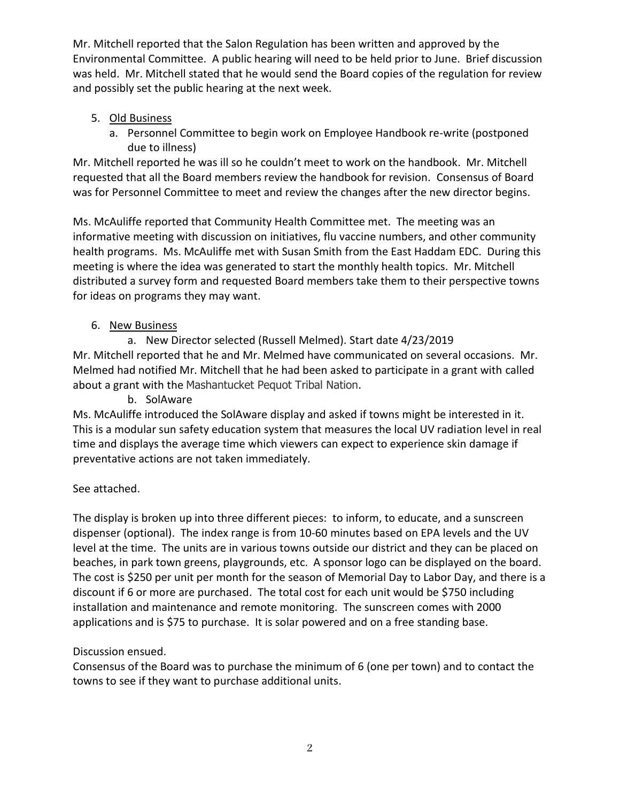Mr. Mitchell reported that the Salon Regulation has been written and approved by the Environmental Committee. A public hearing will need to be held prior to June. Brief discussion was held. Mr. Mitchell stated that he would send the Board copies of the regulation for review and possibly set the public hearing at the next week.

# 5. Old Business

a. Personnel Committee to begin work on Employee Handbook re-write (postponed due to illness)

Mr. Mitchell reported he was ill so he couldn't meet to work on the handbook. Mr. Mitchell requested that all the Board members review the handbook for revision. Consensus of Board was for Personnel Committee to meet and review the changes after the new director begins.

Ms. McAuliffe reported that Community Health Committee met. The meeting was an informative meeting with discussion on initiatives, flu vaccine numbers, and other community health programs. Ms. McAuliffe met with Susan Smith from the East Haddam EDC. During this meeting is where the idea was generated to start the monthly health topics. Mr. Mitchell distributed a survey form and requested Board members take them to their perspective towns for ideas on programs they may want.

# 6. New Business

a. New Director selected (Russell Melmed). Start date 4/23/2019 Mr. Mitchell reported that he and Mr. Melmed have communicated on several occasions. Mr. Melmed had notified Mr. Mitchell that he had been asked to participate in a grant with called about a grant with the Mashantucket Pequot Tribal Nation.

b. SolAware

Ms. McAuliffe introduced the SolAware display and asked if towns might be interested in it. This is a modular sun safety education system that measures the local UV radiation level in real time and displays the average time which viewers can expect to experience skin damage if preventative actions are not taken immediately.

# See attached.

The display is broken up into three different pieces: to inform, to educate, and a sunscreen dispenser (optional). The index range is from 10-60 minutes based on EPA levels and the UV level at the time. The units are in various towns outside our district and they can be placed on beaches, in park town greens, playgrounds, etc. A sponsor logo can be displayed on the board. The cost is \$250 per unit per month for the season of Memorial Day to Labor Day, and there is a discount if 6 or more are purchased. The total cost for each unit would be \$750 including installation and maintenance and remote monitoring. The sunscreen comes with 2000 applications and is \$75 to purchase. It is solar powered and on a free standing base.

# Discussion ensued.

Consensus of the Board was to purchase the minimum of 6 (one per town) and to contact the towns to see if they want to purchase additional units.